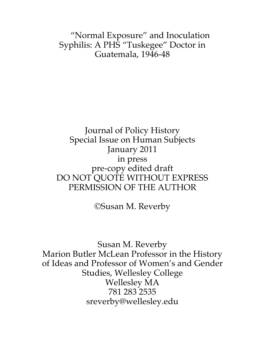"Normal Exposure" and Inoculation Syphilis: A PHS "Tuskegee" Doctor in Guatemala, 1946-48

# Journal of Policy History Special Issue on Human Subjects January 2011 in press pre-copy edited draft DO NOT QUOTE WITHOUT EXPRESS PERMISSION OF THE AUTHOR

©Susan M. Reverby

Susan M. Reverby Marion Butler McLean Professor in the History of Ideas and Professor of Women's and Gender Studies, Wellesley College Wellesley MA 781 283 2535 sreverby@wellesley.edu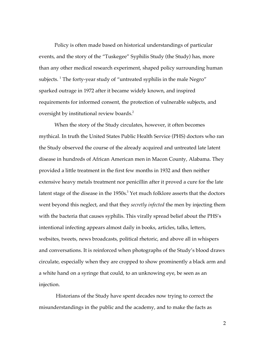Policy is often made based on historical understandings of particular events, and the story of the "Tuskegee" Syphilis Study (the Study) has, more than any other medical research experiment, shaped policy surrounding human subjects.  $^1$  The forty-year study of "untreated syphilis in the male Negro" sparked outrage in 1972 after it became widely known, and inspired requirements for informed consent, the protection of vulnerable subjects, and oversight by institutional review boards.<sup>2</sup>

When the story of the Study circulates, however, it often becomes mythical. In truth the United States Public Health Service (PHS) doctors who ran the Study observed the course of the already acquired and untreated late latent disease in hundreds of African American men in Macon County, Alabama. They provided a little treatment in the first few months in 1932 and then neither extensive heavy metals treatment nor penicillin after it proved a cure for the late latent stage of the disease in the  $1950s<sup>3</sup>$  Yet much folklore asserts that the doctors went beyond this neglect, and that they *secretly infected* the men by injecting them with the bacteria that causes syphilis. This virally spread belief about the PHS's intentional infecting appears almost daily in books, articles, talks, letters, websites, tweets, news broadcasts, political rhetoric, and above all in whispers and conversations. It is reinforced when photographs of the Study's blood draws circulate, especially when they are cropped to show prominently a black arm and a white hand on a syringe that could, to an unknowing eye, be seen as an injection.

 Historians of the Study have spent decades now trying to correct the misunderstandings in the public and the academy, and to make the facts as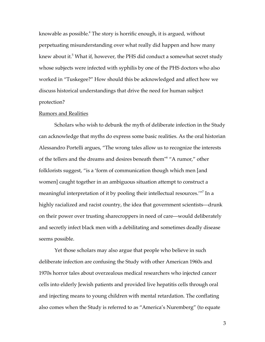knowable as possible.<sup>4</sup> The story is horrific enough, it is argued, without perpetuating misunderstanding over what really did happen and how many knew about it.<sup>5</sup> What if, however, the PHS did conduct a somewhat secret study whose subjects were infected with syphilis by one of the PHS doctors who also worked in "Tuskegee?" How should this be acknowledged and affect how we discuss historical understandings that drive the need for human subject protection?

### Rumors and Realities

Scholars who wish to debunk the myth of deliberate infection in the Study can acknowledge that myths do express some basic realities. As the oral historian Alessandro Portelli argues, "The wrong tales allow us to recognize the interests of the tellers and the dreams and desires beneath them"6 "A rumor," other folklorists suggest, "is a 'form of communication though which men [and women] caught together in an ambiguous situation attempt to construct a meaningful interpretation of it by pooling their intellectual resources.'"7 In a highly racialized and racist country, the idea that government scientists—drunk on their power over trusting sharecroppers in need of care—would deliberately and secretly infect black men with a debilitating and sometimes deadly disease seems possible.

Yet those scholars may also argue that people who believe in such deliberate infection are confusing the Study with other American 1960s and 1970s horror tales about overzealous medical researchers who injected cancer cells into elderly Jewish patients and provided live hepatitis cells through oral and injecting means to young children with mental retardation. The conflating also comes when the Study is referred to as "America's Nuremberg" (to equate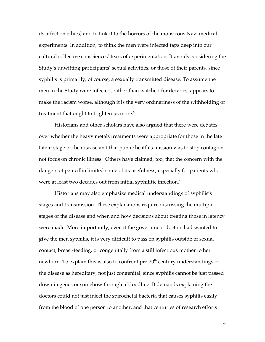its affect on ethics) and to link it to the horrors of the monstrous Nazi medical experiments. In addition, to think the men were infected taps deep into our cultural collective consciences' fears of experimentation. It avoids considering the Study's unwitting participants' sexual activities, or those of their parents, since syphilis is primarily, of course, a sexually transmitted disease. To assume the men in the Study were infected, rather than watched for decades, appears to make the racism worse, although it is the very ordinariness of the withholding of treatment that ought to frighten us more. $8<sup>8</sup>$ 

Historians and other scholars have also argued that there were debates over whether the heavy metals treatments were appropriate for those in the late latent stage of the disease and that public health's mission was to stop contagion, not focus on chronic illness. Others have claimed, too, that the concern with the dangers of penicillin limited some of its usefulness, especially for patients who were at least two decades out from initial syphilitic infection.<sup>9</sup>

Historians may also emphasize medical understandings of syphilis's stages and transmission. These explanations require discussing the multiple stages of the disease and when and how decisions about treating those in latency were made. More importantly, even if the government doctors had wanted to give the men syphilis, it is very difficult to pass on syphilis outside of sexual contact, breast-feeding, or congenitally from a still infectious mother to her newborn. To explain this is also to confront pre- $20<sup>th</sup>$  century understandings of the disease as hereditary, not just congenital, since syphilis cannot be just passed down in genes or somehow through a bloodline. It demands explaining the doctors could not just inject the spirochetal bacteria that causes syphilis easily from the blood of one person to another, and that centuries of research efforts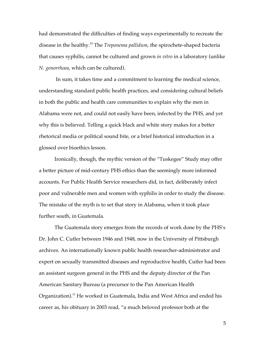had demonstrated the difficulties of finding ways experimentally to recreate the disease in the healthy.10 The *Treponema pallidum*, the spirochete-shaped bacteria that causes syphilis, cannot be cultured and grown *in vitro* in a laboratory (unlike *N. gonorrhoea*, which can be cultured).

 In sum, it takes time and a commitment to learning the medical science, understanding standard public health practices, and considering cultural beliefs in both the public and health care communities to explain why the men in Alabama were not, and could not easily have been, infected by the PHS, and yet why this is believed. Telling a quick black and white story makes for a better rhetorical media or political sound bite, or a brief historical introduction in a glossed over bioethics lesson.

Ironically, though, the mythic version of the "Tuskegee" Study may offer a better picture of mid-century PHS ethics than the seemingly more informed accounts. For Public Health Service researchers did, in fact, deliberately infect poor and vulnerable men and women with syphilis in order to study the disease. The mistake of the myth is to set that story in Alabama, when it took place further south, in Guatemala.

The Guatemala story emerges from the records of work done by the PHS's Dr. John C. Cutler between 1946 and 1948, now in the University of Pittsburgh archives. An internationally known public health researcher-administrator and expert on sexually transmitted diseases and reproductive health, Cutler had been an assistant surgeon general in the PHS and the deputy director of the Pan American Sanitary Bureau (a precursor to the Pan American Health Organization).<sup>11</sup> He worked in Guatemala, India and West Africa and ended his career as, his obituary in 2003 read, "a much beloved professor both at the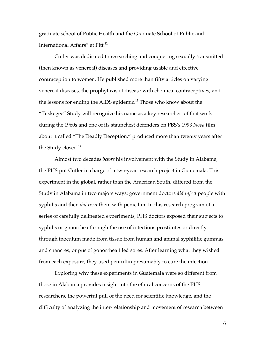graduate school of Public Health and the Graduate School of Public and International Affairs" at Pitt.<sup>12</sup>

Cutler was dedicated to researching and conquering sexually transmitted (then known as venereal) diseases and providing usable and effective contraception to women. He published more than fifty articles on varying venereal diseases, the prophylaxis of disease with chemical contraceptives, and the lessons for ending the AIDS epidemic.<sup>13</sup> Those who know about the "Tuskegee" Study will recognize his name as a key researcher of that work during the 1960s and one of its staunchest defenders on PBS's 1993 *Nova* film about it called "The Deadly Deception," produced more than twenty years after the Study closed.<sup>14</sup>

Almost two decades *before* his involvement with the Study in Alabama, the PHS put Cutler in charge of a two-year research project in Guatemala. This experiment in the global, rather than the American South, differed from the Study in Alabama in two majors ways: government doctors *did infect* people with syphilis and then *did treat* them with penicillin. In this research program of a series of carefully delineated experiments, PHS doctors exposed their subjects to syphilis or gonorrhea through the use of infectious prostitutes or directly through inoculum made from tissue from human and animal syphilitic gummas and chancres, or pus of gonorrhea filed sores. After learning what they wished from each exposure, they used penicillin presumably to cure the infection.

Exploring why these experiments in Guatemala were so different from those in Alabama provides insight into the ethical concerns of the PHS researchers, the powerful pull of the need for scientific knowledge, and the difficulty of analyzing the inter-relationship and movement of research between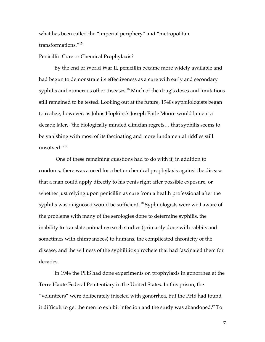what has been called the "imperial periphery" and "metropolitan transformations."15

## Penicillin Cure or Chemical Prophylaxis?

By the end of World War II, penicillin became more widely available and had begun to demonstrate its effectiveness as a cure with early and secondary syphilis and numerous other diseases.<sup>16</sup> Much of the drug's doses and limitations still remained to be tested. Looking out at the future, 1940s syphilologists began to realize, however, as Johns Hopkins's Joseph Earle Moore would lament a decade later, "the biologically minded clinician regrets… that syphilis seems to be vanishing with most of its fascinating and more fundamental riddles still unsolved."17

 One of these remaining questions had to do with if, in addition to condoms, there was a need for a better chemical prophylaxis against the disease that a man could apply directly to his penis right after possible exposure, or whether just relying upon penicillin as cure from a health professional after the syphilis was diagnosed would be sufficient.<sup>18</sup> Syphilologists were well aware of the problems with many of the serologies done to determine syphilis, the inability to translate animal research studies (primarily done with rabbits and sometimes with chimpanzees) to humans, the complicated chronicity of the disease, and the wiliness of the syphilitic spirochete that had fascinated them for decades.

In 1944 the PHS had done experiments on prophylaxis in gonorrhea at the Terre Haute Federal Penitentiary in the United States. In this prison, the "volunteers" were deliberately injected with gonorrhea, but the PHS had found it difficult to get the men to exhibit infection and the study was abandoned.<sup>19</sup> To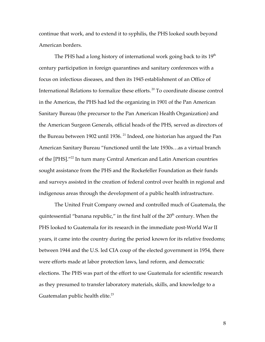continue that work, and to extend it to syphilis, the PHS looked south beyond American borders.

The PHS had a long history of international work going back to its  $19<sup>th</sup>$ century participation in foreign quarantines and sanitary conferences with a focus on infectious diseases, and then its 1945 establishment of an Office of International Relations to formalize these efforts. 20 To coordinate disease control in the Americas, the PHS had led the organizing in 1901 of the Pan American Sanitary Bureau (the precursor to the Pan American Health Organization) and the American Surgeon Generals, official heads of the PHS, served as directors of the Bureau between 1902 until 1936.<sup>21</sup> Indeed, one historian has argued the Pan American Sanitary Bureau "functioned until the late 1930s…as a virtual branch of the [PHS]."22 In turn many Central American and Latin American countries sought assistance from the PHS and the Rockefeller Foundation as their funds and surveys assisted in the creation of federal control over health in regional and indigenous areas through the development of a public health infrastructure.

The United Fruit Company owned and controlled much of Guatemala, the quintessential "banana republic," in the first half of the 20<sup>th</sup> century. When the PHS looked to Guatemala for its research in the immediate post-World War II years, it came into the country during the period known for its relative freedoms; between 1944 and the U.S. led CIA coup of the elected government in 1954, there were efforts made at labor protection laws, land reform, and democratic elections. The PHS was part of the effort to use Guatemala for scientific research as they presumed to transfer laboratory materials, skills, and knowledge to a Guatemalan public health elite.<sup>23</sup>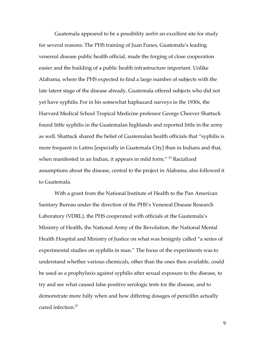Guatemala appeared to be a possibility asrfrr an excellent site for study for several reasons. The PHS training of Juan Funes, Guatemala's leading venereal disease public health official, made the forging of close cooperation easier and the building of a public health infrastructure important. Unlike Alabama, where the PHS expected to find a large number of subjects with the late latent stage of the disease already, Guatemala offered subjects who did not yet have syphilis. For in his somewhat haphazard surveys in the 1930s, the Harvard Medical School Tropical Medicine professor George Cheever Shattuck found little syphilis in the Guatemalan highlands and reported little in the army as well. Shattuck shared the belief of Guatemalan health officials that "syphilis is more frequent in Latins [especially in Guatemala City] than in Indians and that, when manifested in an Indian, it appears in mild form."<sup>24</sup> Racialized assumptions about the disease, central to the project in Alabama, also followed it to Guatemala.

With a grant from the National Institute of Health to the Pan American Sanitary Bureau under the direction of the PHS's Venereal Disease Research Laboratory (VDRL), the PHS cooperated with officials at the Guatemala's Ministry of Health, the National Army of the Revolution, the National Mental Health Hospital and Ministry of Justice on what was benignly called "a series of experimental studies on syphilis in man." The focus of the experiments was to understand whether various chemicals, other than the ones then available, could be used as a prophylaxis against syphilis after sexual exposure to the disease, to try and see what caused false positive serologic tests for the disease, and to demonstrate more fully when and how differing dosages of penicillin actually cured infection.25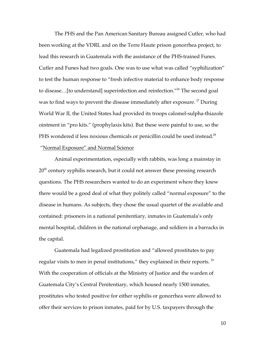The PHS and the Pan American Sanitary Bureau assigned Cutler, who had been working at the VDRL and on the Terre Haute prison gonorrhea project, to lead this research in Guatemala with the assistance of the PHS-trained Funes. Cutler and Funes had two goals. One was to use what was called "syphilization" to test the human response to "fresh infective material to enhance body response to disease...[to understand] superinfection and reinfection."<sup>26</sup> The second goal was to find ways to prevent the disease immediately after exposure.<sup>27</sup> During World War II, the United States had provided its troops calomel-sulpha-thiazole ointment in "pro kits." (prophylaxis kits). But these were painful to use, so the PHS wondered if less noxious chemicals or penicillin could be used instead.<sup>28</sup> "Normal Exposure" and Normal Science

Animal experimentation, especially with rabbits, was long a mainstay in 20<sup>th</sup> century syphilis research, but it could not answer these pressing research questions. The PHS researchers wanted to do an experiment where they knew there would be a good deal of what they politely called "normal exposure" to the disease in humans. As subjects, they chose the usual quartet of the available and contained: prisoners in a national penitentiary, inmates in Guatemala's only mental hospital, children in the national orphanage, and soldiers in a barracks in the capital.

Guatemala had legalized prostitution and "allowed prostitutes to pay regular visits to men in penal institutions," they explained in their reports.  $^{29}$ With the cooperation of officials at the Ministry of Justice and the warden of Guatemala City's Central Penitentiary, which housed nearly 1500 inmates, prostitutes who tested positive for either syphilis or gonorrhea were allowed to offer their services to prison inmates, paid for by U.S. taxpayers through the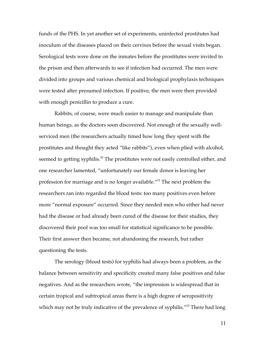funds of the PHS. In yet another set of experiments, uninfected prostitutes had inoculum of the diseases placed on their cervixes before the sexual visits began. Serological tests were done on the inmates before the prostitutes were invited to the prison and then afterwards to see if infection had occurred. The men were divided into groups and various chemical and biological prophylaxis techniques were tested after presumed infection. If positive, the men were then provided with enough penicillin to produce a cure.

Rabbits, of course, were much easier to manage and manipulate than human beings, as the doctors soon discovered. Not enough of the sexually wellserviced men (the researchers actually timed how long they spent with the prostitutes and thought they acted "like rabbits"), even when plied with alcohol, seemed to getting syphilis.<sup>30</sup> The prostitutes were not easily controlled either, and one researcher lamented, "unfortunately our female donor is leaving her profession for marriage and is no longer available."31 The next problem the researchers ran into regarded the blood tests: too many positives even before more "normal exposure" occurred. Since they needed men who either had never had the disease or had already been cured of the disease for their studies, they discovered their pool was too small for statistical significance to be possible. Their first answer then became, not abandoning the research, but rather questioning the tests.

The serology (blood tests) for syphilis had always been a problem, as the balance between sensitivity and specificity created many false positives and false negatives. And as the researchers wrote, "the impression is widespread that in certain tropical and subtropical areas there is a high degree of seropositivity which may not be truly indicative of the prevalence of syphilis."<sup>32</sup> There had long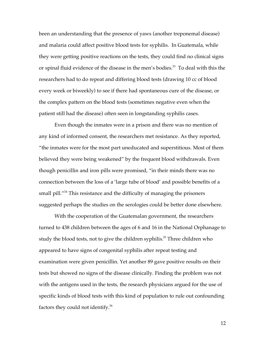been an understanding that the presence of yaws (another treponemal disease) and malaria could affect positive blood tests for syphilis. In Guatemala, while they were getting positive reactions on the tests, they could find no clinical signs or spinal fluid evidence of the disease in the men's bodies.<sup>33</sup> To deal with this the researchers had to do repeat and differing blood tests (drawing 10 cc of blood every week or biweekly) to see if there had spontaneous cure of the disease, or the complex pattern on the blood tests (sometimes negative even when the patient still had the disease) often seen in longstanding syphilis cases.

Even though the inmates were in a prison and there was no mention of any kind of informed consent, the researchers met resistance. As they reported, "the inmates were for the most part uneducated and superstitious. Most of them believed they were being weakened" by the frequent blood withdrawals. Even though penicillin and iron pills were promised, "in their minds there was no connection between the loss of a 'large tube of blood' and possible benefits of a small pill."<sup>34</sup> This resistance and the difficulty of managing the prisoners suggested perhaps the studies on the serologies could be better done elsewhere.

With the cooperation of the Guatemalan government, the researchers turned to 438 children between the ages of 6 and 16 in the National Orphanage to study the blood tests, not to give the children syphilis.<sup>35</sup> Three children who appeared to have signs of congenital syphilis after repeat testing and examination were given penicillin. Yet another 89 gave positive results on their tests but showed no signs of the disease clinically. Finding the problem was not with the antigens used in the tests, the research physicians argued for the use of specific kinds of blood tests with this kind of population to rule out confounding factors they could not identify.36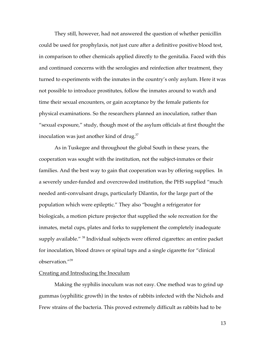They still, however, had not answered the question of whether penicillin could be used for prophylaxis, not just cure after a definitive positive blood test, in comparison to other chemicals applied directly to the genitalia. Faced with this and continued concerns with the serologies and reinfection after treatment, they turned to experiments with the inmates in the country's only asylum. Here it was not possible to introduce prostitutes, follow the inmates around to watch and time their sexual encounters, or gain acceptance by the female patients for physical examinations. So the researchers planned an inoculation, rather than "sexual exposure," study, though most of the asylum officials at first thought the inoculation was just another kind of drug. $37$ 

As in Tuskegee and throughout the global South in these years, the cooperation was sought with the institution, not the subject-inmates or their families. And the best way to gain that cooperation was by offering supplies. In a severely under-funded and overcrowded institution, the PHS supplied "much needed anti-convulsant drugs, particularly Dilantin, for the large part of the population which were epileptic." They also "bought a refrigerator for biologicals, a motion picture projector that supplied the sole recreation for the inmates, metal cups, plates and forks to supplement the completely inadequate supply available."<sup>38</sup> Individual subjects were offered cigarettes: an entire packet for inoculation, blood draws or spinal taps and a single cigarette for "clinical observation."39

# Creating and Introducing the Inoculum

Making the syphilis inoculum was not easy. One method was to grind up gummas (syphilitic growth) in the testes of rabbits infected with the Nichols and Frew strains of the bacteria. This proved extremely difficult as rabbits had to be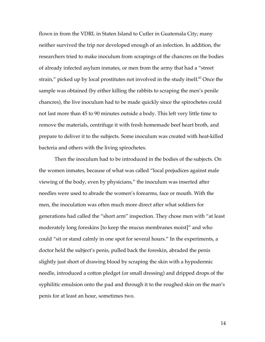flown in from the VDRL in Staten Island to Cutler in Guatemala City; many neither survived the trip nor developed enough of an infection. In addition, the researchers tried to make inoculum from scrapings of the chancres on the bodies of already infected asylum inmates, or men from the army that had a "street strain," picked up by local prostitutes not involved in the study itself. $40$  Once the sample was obtained (by either killing the rabbits to scraping the men's penile chancres), the live inoculum had to be made quickly since the spirochetes could not last more than 45 to 90 minutes outside a body. This left very little time to remove the materials, centrifuge it with fresh homemade beef heart broth, and prepare to deliver it to the subjects. Some inoculum was created with heat-killed bacteria and others with the living spirochetes.

Then the inoculum had to be introduced in the bodies of the subjects. On the women inmates, because of what was called "local prejudices against male viewing of the body, even by physicians," the inoculum was inserted after needles were used to abrade the women's forearms, face or mouth. With the men, the inoculation was often much more direct after what soldiers for generations had called the "short arm" inspection. They chose men with "at least moderately long foreskins [to keep the mucus membranes moist]" and who could "sit or stand calmly in one spot for several hours." In the experiments, a doctor held the subject's penis, pulled back the foreskin, abraded the penis slightly just short of drawing blood by scraping the skin with a hypodermic needle, introduced a cotton pledget (or small dressing) and dripped drops of the syphilitic emulsion onto the pad and through it to the roughed skin on the man's penis for at least an hour, sometimes two.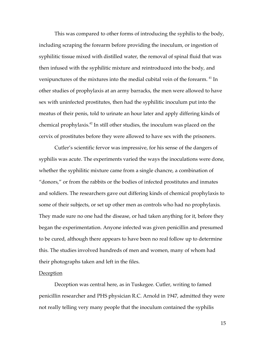This was compared to other forms of introducing the syphilis to the body, including scraping the forearm before providing the inoculum, or ingestion of syphilitic tissue mixed with distilled water, the removal of spinal fluid that was then infused with the syphilitic mixture and reintroduced into the body, and venipunctures of the mixtures into the medial cubital vein of the forearm.<sup>41</sup> In other studies of prophylaxis at an army barracks, the men were allowed to have sex with uninfected prostitutes, then had the syphilitic inoculum put into the meatus of their penis, told to urinate an hour later and apply differing kinds of chemical prophylaxis.42 In still other studies, the inoculum was placed on the cervix of prostitutes before they were allowed to have sex with the prisoners.

Cutler's scientific fervor was impressive, for his sense of the dangers of syphilis was acute. The experiments varied the ways the inoculations were done, whether the syphilitic mixture came from a single chancre, a combination of "donors," or from the rabbits or the bodies of infected prostitutes and inmates and soldiers. The researchers gave out differing kinds of chemical prophylaxis to some of their subjects, or set up other men as controls who had no prophylaxis. They made sure no one had the disease, or had taken anything for it, before they began the experimentation. Anyone infected was given penicillin and presumed to be cured, although there appears to have been no real follow up to determine this. The studies involved hundreds of men and women, many of whom had their photographs taken and left in the files.

## **Deception**

Deception was central here, as in Tuskegee. Cutler, writing to famed penicillin researcher and PHS physician R.C. Arnold in 1947, admitted they were not really telling very many people that the inoculum contained the syphilis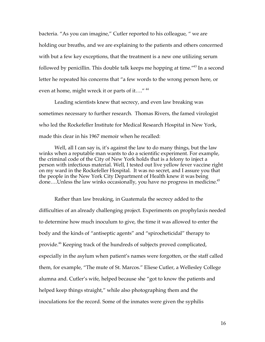bacteria. "As you can imagine," Cutler reported to his colleague, " we are holding our breaths, and we are explaining to the patients and others concerned with but a few key exceptions, that the treatment is a new one utilizing serum followed by penicillin. This double talk keeps me hopping at time."43 In a second letter he repeated his concerns that "a few words to the wrong person here, or even at home, might wreck it or parts of it...."<sup>44</sup>

Leading scientists knew that secrecy, and even law breaking was sometimes necessary to further research. Thomas Rivers, the famed virologist who led the Rockefeller Institute for Medical Research Hospital in New York, made this clear in his 1967 memoir when he recalled:

Well, all I can say is, it's against the law to do many things, but the law winks when a reputable man wants to do a scientific experiment. For example, the criminal code of the City of New York holds that is a felony to inject a person with infectious material. Well, I tested out live yellow fever vaccine right on my ward in the Rockefeller Hospital. It was no secret, and I assure you that the people in the New York City Department of Health knew it was being done....Unless the law winks occasionally, you have no progress in medicine.<sup>45</sup>

Rather than law breaking, in Guatemala the secrecy added to the difficulties of an already challenging project. Experiments on prophylaxis needed to determine how much inoculum to give, the time it was allowed to enter the body and the kinds of "antiseptic agents" and "spirocheticidal" therapy to provide.<sup>46</sup> Keeping track of the hundreds of subjects proved complicated, especially in the asylum when patient's names were forgotten, or the staff called them, for example, "The mute of St. Marcos." Eliese Cutler, a Wellesley College alumna and. Cutler's wife, helped because she "got to know the patients and helped keep things straight," while also photographing them and the inoculations for the record. Some of the inmates were given the syphilis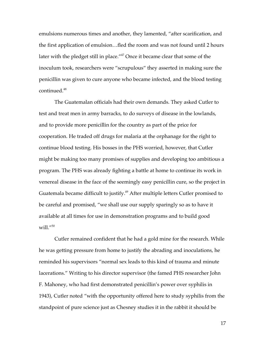emulsions numerous times and another, they lamented, "after scarification, and the first application of emulsion…fled the room and was not found until 2 hours later with the pledget still in place."47 Once it became clear that some of the inoculum took, researchers were "scrupulous" they asserted in making sure the penicillin was given to cure anyone who became infected, and the blood testing continued.<sup>48</sup>

The Guatemalan officials had their own demands. They asked Cutler to test and treat men in army barracks, to do surveys of disease in the lowlands, and to provide more penicillin for the country as part of the price for cooperation. He traded off drugs for malaria at the orphanage for the right to continue blood testing. His bosses in the PHS worried, however, that Cutler might be making too many promises of supplies and developing too ambitious a program. The PHS was already fighting a battle at home to continue its work in venereal disease in the face of the seemingly easy penicillin cure, so the project in Guatemala became difficult to justify.<sup>49</sup> After multiple letters Cutler promised to be careful and promised, "we shall use our supply sparingly so as to have it available at all times for use in demonstration programs and to build good will. $^{\prime\prime50}$ 

Cutler remained confident that he had a gold mine for the research. While he was getting pressure from home to justify the abrading and inoculations, he reminded his supervisors "normal sex leads to this kind of trauma and minute lacerations." Writing to his director supervisor (the famed PHS researcher John F. Mahoney, who had first demonstrated penicillin's power over syphilis in 1943), Cutler noted "with the opportunity offered here to study syphilis from the standpoint of pure science just as Chesney studies it in the rabbit it should be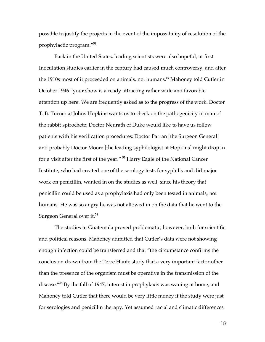possible to justify the projects in the event of the impossibility of resolution of the prophylactic program."51

Back in the United States, leading scientists were also hopeful, at first. Inoculation studies earlier in the century had caused much controversy, and after the 1910s most of it proceeded on animals, not humans.<sup>52</sup> Mahoney told Cutler in October 1946 "your show is already attracting rather wide and favorable attention up here. We are frequently asked as to the progress of the work. Doctor T. B. Turner at Johns Hopkins wants us to check on the pathogenicity in man of the rabbit spirochete; Doctor Neurath of Duke would like to have us follow patients with his verification procedures; Doctor Parran [the Surgeon General] and probably Doctor Moore [the leading syphilologist at Hopkins] might drop in for a visit after the first of the year." 53 Harry Eagle of the National Cancer Institute, who had created one of the serology tests for syphilis and did major work on penicillin, wanted in on the studies as well, since his theory that penicillin could be used as a prophylaxis had only been tested in animals, not humans. He was so angry he was not allowed in on the data that he went to the Surgeon General over it.<sup>54</sup>

The studies in Guatemala proved problematic, however, both for scientific and political reasons. Mahoney admitted that Cutler's data were not showing enough infection could be transferred and that "the circumstance confirms the conclusion drawn from the Terre Haute study that a very important factor other than the presence of the organism must be operative in the transmission of the disease."55 By the fall of 1947, interest in prophylaxis was waning at home, and Mahoney told Cutler that there would be very little money if the study were just for serologies and penicillin therapy. Yet assumed racial and climatic differences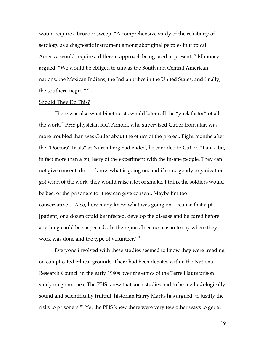would require a broader sweep. "A comprehensive study of the reliability of serology as a diagnostic instrument among aboriginal peoples in tropical America would require a different approach being used at present.," Mahoney argued. "We would be obliged to canvas the South and Central American nations, the Mexican Indians, the Indian tribes in the United States, and finally, the southern negro."56

### Should They Do This?

There was also what bioethicists would later call the "yuck factor" of all the work.<sup>57</sup> PHS physician R.C. Arnold, who supervised Cutler from afar, was more troubled than was Cutler about the ethics of the project. Eight months after the "Doctors' Trials" at Nuremberg had ended, he confided to Cutler, "I am a bit, in fact more than a bit, leery of the experiment with the insane people. They can not give consent, do not know what is going on, and if some goody organization got wind of the work, they would raise a lot of smoke. I think the soldiers would be best or the prisoners for they can give consent. Maybe I'm too conservative….Also, how many knew what was going on. I realize that a pt [patient] or a dozen could be infected, develop the disease and be cured before anything could be suspected…In the report, I see no reason to say where they work was done and the type of volunteer."<sup>58</sup>

Everyone involved with these studies seemed to know they were treading on complicated ethical grounds. There had been debates within the National Research Council in the early 1940s over the ethics of the Terre Haute prison study on gonorrhea. The PHS knew that such studies had to be methodologically sound and scientifically fruitful, historian Harry Marks has argued, to justify the risks to prisoners.59 Yet the PHS knew there were very few other ways to get at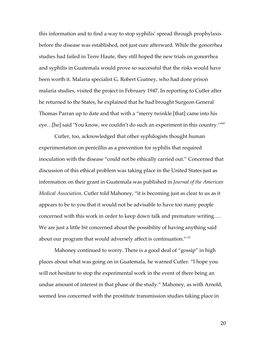this information and to find a way to stop syphilis' spread through prophylaxis before the disease was established, not just cure afterward. While the gonorrhea studies had failed in Terre Haute, they still hoped the new trials on gonorrhea and syphilis in Guatemala would prove so successful that the risks would have been worth it. Malaria specialist G. Robert Coatney, who had done prison malaria studies, visited the project in February 1947. In reporting to Cutler after he returned to the States, he explained that he had brought Surgeon General Thomas Parran up to date and that with a "merry twinkle [that] came into his eye...[he] said 'You know, we couldn't do such an experiment in this country.'"<sup>60</sup>

Cutler, too, acknowledged that other syphilogists thought human experimentation on penicillin as a prevention for syphilis that required inoculation with the disease "could not be ethically carried out." Concerned that discussion of this ethical problem was taking place in the United States just as information on their grant in Guatemala was published in *Journal of the American Medical Association,* Cutler told Mahoney, "it is becoming just as clear to us as it appears to be to you that it would not be advisable to have too many people concerned with this work in order to keep down talk and premature writing…. We are just a little bit concerned about the possibility of having anything said about our program that would adversely affect is continuation." <sup>61</sup>

Mahoney continued to worry. There is a good deal of "gossip" in high places about what was going on in Guatemala, he warned Cutler. "I hope you will not hesitate to stop the experimental work in the event of there being an undue amount of interest in that phase of the study." Mahoney, as with Arnold, seemed less concerned with the prostitute transmission studies taking place in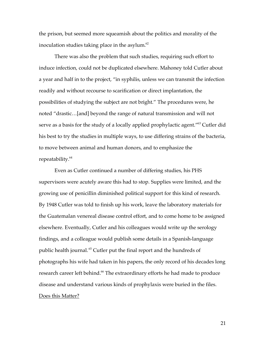the prison, but seemed more squeamish about the politics and morality of the inoculation studies taking place in the asylum. $62$ 

There was also the problem that such studies, requiring such effort to induce infection, could not be duplicated elsewhere. Mahoney told Cutler about a year and half in to the project, "in syphilis, unless we can transmit the infection readily and without recourse to scarification or direct implantation, the possibilities of studying the subject are not bright." The procedures were, he noted "drastic…[and] beyond the range of natural transmission and will not serve as a basis for the study of a locally applied prophylactic agent."<sup>63</sup> Cutler did his best to try the studies in multiple ways, to use differing strains of the bacteria, to move between animal and human donors, and to emphasize the repeatability.<sup>64</sup>

Even as Cutler continued a number of differing studies, his PHS supervisors were acutely aware this had to stop. Supplies were limited, and the growing use of penicillin diminished political support for this kind of research. By 1948 Cutler was told to finish up his work, leave the laboratory materials for the Guatemalan venereal disease control effort, and to come home to be assigned elsewhere. Eventually, Cutler and his colleagues would write up the serology findings, and a colleague would publish some details in a Spanish-language public health journal.<sup>65</sup> Cutler put the final report and the hundreds of photographs his wife had taken in his papers, the only record of his decades long research career left behind.<sup>66</sup> The extraordinary efforts he had made to produce disease and understand various kinds of prophylaxis were buried in the files. Does this Matter?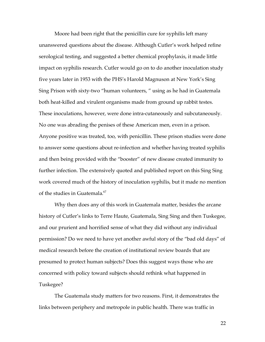Moore had been right that the penicillin cure for syphilis left many unanswered questions about the disease. Although Cutler's work helped refine serological testing, and suggested a better chemical prophylaxis, it made little impact on syphilis research. Cutler would go on to do another inoculation study five years later in 1953 with the PHS's Harold Magnuson at New York's Sing Sing Prison with sixty-two "human volunteers, " using as he had in Guatemala both heat-killed and virulent organisms made from ground up rabbit testes. These inoculations, however, were done intra-cutaneously and subcutaneously. No one was abrading the penises of these American men, even in a prison. Anyone positive was treated, too, with penicillin. These prison studies were done to answer some questions about re-infection and whether having treated syphilis and then being provided with the "booster" of new disease created immunity to further infection. The extensively quoted and published report on this Sing Sing work covered much of the history of inoculation syphilis, but it made no mention of the studies in Guatemala.<sup>67</sup>

Why then does any of this work in Guatemala matter, besides the arcane history of Cutler's links to Terre Haute, Guatemala, Sing Sing and then Tuskegee, and our prurient and horrified sense of what they did without any individual permission? Do we need to have yet another awful story of the "bad old days" of medical research before the creation of institutional review boards that are presumed to protect human subjects? Does this suggest ways those who are concerned with policy toward subjects should rethink what happened in Tuskegee?

The Guatemala study matters for two reasons. First, it demonstrates the links between periphery and metropole in public health. There was traffic in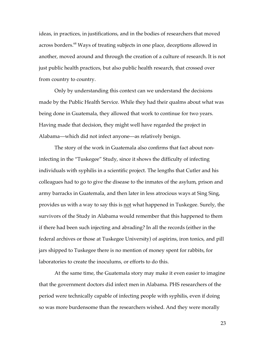ideas, in practices, in justifications, and in the bodies of researchers that moved across borders.<sup>68</sup> Ways of treating subjects in one place, deceptions allowed in another, moved around and through the creation of a culture of research. It is not just public health practices, but also public health research, that crossed over from country to country.

Only by understanding this context can we understand the decisions made by the Public Health Service. While they had their qualms about what was being done in Guatemala, they allowed that work to continue for two years. Having made that decision, they might well have regarded the project in Alabama—which did not infect anyone—as relatively benign.

The story of the work in Guatemala also confirms that fact about noninfecting in the "Tuskegee" Study, since it shows the difficulty of infecting individuals with syphilis in a scientific project. The lengths that Cutler and his colleagues had to go to give the disease to the inmates of the asylum, prison and army barracks in Guatemala, and then later in less atrocious ways at Sing Sing, provides us with a way to say this is not what happened in Tuskegee. Surely, the survivors of the Study in Alabama would remember that this happened to them if there had been such injecting and abrading? In all the records (either in the federal archives or those at Tuskegee University) of aspirins, iron tonics, and pill jars shipped to Tuskegee there is no mention of money spent for rabbits, for laboratories to create the inoculums, or efforts to do this.

At the same time, the Guatemala story may make it even easier to imagine that the government doctors did infect men in Alabama. PHS researchers of the period were technically capable of infecting people with syphilis, even if doing so was more burdensome than the researchers wished. And they were morally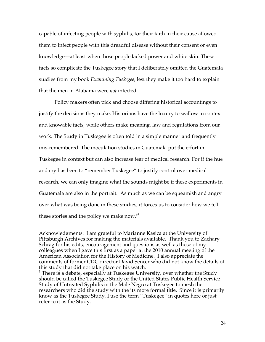capable of infecting people with syphilis, for their faith in their cause allowed them to infect people with this dreadful disease without their consent or even knowledge—at least when those people lacked power and white skin. These facts so complicate the Tuskegee story that I deliberately omitted the Guatemala studies from my book *Examining Tuskegee*, lest they make it too hard to explain that the men in Alabama were *not* infected.

Policy makers often pick and choose differing historical accountings to justify the decisions they make. Historians have the luxury to wallow in context and knowable facts, while others make meaning, law and regulations from our work. The Study in Tuskegee is often told in a simple manner and frequently mis-remembered. The inoculation studies in Guatemala put the effort in Tuskegee in context but can also increase fear of medical research. For if the hue and cry has been to "remember Tuskegee" to justify control over medical research, we can only imagine what the sounds might be if these experiments in Guatemala are also in the portrait. As much as we can be squeamish and angry over what was being done in these studies, it forces us to consider how we tell these stories and the policy we make now.<sup>69</sup>

 $\overline{a}$ 

Acknowledgments: I am grateful to Marianne Kasica at the University of Pittsburgh Archives for making the materials available. Thank you to Zachary Schrag for his edits, encouragement and questions as well as those of my colleagues when I gave this first as a paper at the 2010 annual meeting of the American Association for the History of Medicine. I also appreciate the comments of former CDC director David Sencer who did not know the details of this study that did not take place on his watch.

 $1$  There is a debate, especially at Tuskegee University, over whether the Study should be called the Tuskegee Study or the United States Public Health Service Study of Untreated Syphilis in the Male Negro at Tuskegee to mesh the researchers who did the study with the its more formal title. Since it is primarily know as the Tuskegee Study, I use the term "Tuskegee" in quotes here or just refer to it as the Study.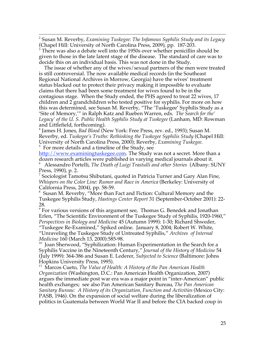$\frac{1}{2}$  Susan M. Reverby, *Examining Tuskegee: The Infamous Syphilis Study and its Legacy* (Chapel Hill: University of North Carolina Press, 2009), pp. 187-203.

<sup>3</sup> There was also a debate well into the 1950s over whether penicillin should be given to those in the late latent stage of the disease. The standard of care was to decide this on an individual basis. This was not done in the Study.

 The issue of whether any of the wives/sexual partners of the men were treated is still controversial. The now available medical records (in the Southeast Regional National Archives in Morrow, Georgia) have the wives' treatment status blacked out to protect their privacy making it impossible to evaluate claims that there had been some treatment for wives found to be in the contagious stage. When the Study ended, the PHS agreed to treat 22 wives, 17 children and 2 grandchildren who tested positive for syphilis. For more on how this was determined, see Susan M. Reverby, "The 'Tuskegee' Syphilis Study as a 'Site of Memory,'" in Ralph Katz and Rueben Warren, eds. *The Search for the' Legacy' of the U. S. Public Health Syphilis Study at Tuskegee* (Lanham, MD: Rowman and Littlefield, forthcoming).

4 James H. Jones, *Bad Blood* (New York: Free Press, rev. ed., 1993); Susan M. Reverby, ed. *Tuskegee's Truths: Rethinking the Tuskegee Syphilis Study* (Chapel Hill: University of North Carolina Press, 2000); Reverby, *Examining Tuskegee.* <sup>5</sup> For more details and a timeline of the Study, see

http://www.examiningtuskegee.com. The Study was not a secret. More than a

dozen research articles were published in varying medical journals about it. 6 Alessandro Portelli, *The Death of Luigi Trastulli and other Stories* (Albany: SUNY Press, 1990), p. 2.

<sup>7</sup> Sociologist Tamotsu Shibutani, quoted in Patricia Turner and Gary Alan Fine, *Whispers on the Color Line: Rumor and Race in America* (Berkeley: University of California Press, 2004), pp. 58-59.

8 Susan M. Reverby, "More than Fact and Fiction: Cultural Memory and the Tuskegee Syphilis Study, *Hastings Center Report* 31 (September-October 2001): 22- 28.

9 For various versions of this argument see, Thomas G. Benedek and Jonathan Erlen, "The Scientific Environment of the Tuskegee Study of Syphilis, 1920-1960," *Perspectives in Biology and Medicine* 45 (Autumn 1999): 1-30; Richard Shweder, "Tuskegee Re-Examined," Spiked online. January 8, 2004; Robert W. White, "Unraveling the Tuskegee Study of Untreated Syphilis," *Archives of Internal Medicine* 160 (March 13, 2000):585-98.

<sup>10</sup> Joan Sherwood, "Syphilization: Human Experimentation in the Search for a Syphilis Vaccine in the Nineteenth Century," *Journal of the History of Medicine* 54 (July 1999): 364-386 and Susan E. Lederer, *Subjected to Science* (Baltimore: Johns Hopkins University Press, 1995).

11 Marcos Cueto, *The Value of Health: A History of the Pan American Health Organization* (Washington, D.C.: Pan American Health Organization, 2007) argues the immediate post war era was a major point in "inter-American" public health exchanges; see also Pan American Sanitary Bureau, *The Pan American Sanitary Bureau: A History of its Organization, Function and Activities* (Mexico City: PASB, 1946). On the expansion of social welfare during the liberalization of politics in Guatemala between World War II and before the CIA backed coup in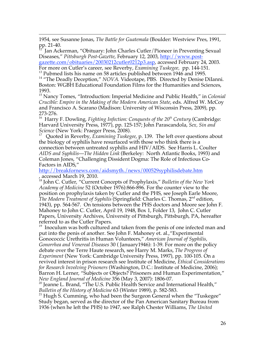$\overline{a}$ 1954, see Susanne Jonas, *The Battle for Guatemala* (Boulder: Westview Pres, 1991, pp. 21-40.

12 Jan Ackerman, "Obituary: John Charles Cutler/Pioneer in Preventing Sexual Diseases," *Pittsburgh Post-Gazette*, February 12, 2003, http://www.post-

gazette.com/obituaries/20030212cutler0212p3.asp, accessed February 24, 2003. For more on Cutler's career, see Reverby, *Examining Tuskegee,* pp. 144-151.

<sup>13</sup> Pubmed lists his name on 58 articles published between 1946 and 1995.

<sup>14</sup> "The Deadly Deception," *NOVA*. Videotape, PBS. Directed by Denise Dilanni. Boston: WGBH Educational Foundation Films for the Humanities and Sciences, 1993.

15 Nancy Tomes, "Introduction: Imperial Medicine and Public Health," in *Colonial Crucible: Empire in the Making of the Modern American State*, eds. Alfred W. McCoy and Francisco A. Scarano (Madison: University of Wisconsin Press, 2009), pp. 273-276.

<sup>16</sup> Harry F. Dowling, *Fighting Infection: Conquests of the 20<sup>th</sup> Century* (Cambridge: Harvard University Press, 1977), pp. 125-157; John Parascandola, *Sex, Sin and Science* (New York: Praeger Press, 2008).

17 Quoted in Reverby, *Examining Tuskegee*, p. 139. The left over questions about the biology of syphilis have resurfaced with those who think there is a connection between untreated syphilis and HIV/AIDS. See Harris L. Coulter *AIDS and Syphilis*—*The Hidden Link* (Berkeley: North Atlantic Books, 1993) and Coleman Jones, "Challenging Dissident Dogma: The Role of Infectious Co-Factors in AIDS,"

http://breakfornews.com/aidsmyth./news/000529syphilisdebate.htm , accessed March 19, 2010.

18 John C. Cutler, "Current Concepts of Prophylaxis," *Bulletin of the New York Academy of Medicine* 52 (October 1976):866-896. For the counter view to the position on prophylaxis taken by Cutler and the PHS, see Joseph Earle Moore, *The Modern Treatment of Syphilis* (Springfield: Charles C. Thomas, 2nd edition, 1943), pp. 564-567. On tensions between the PHS doctors and Moore see John F. Mahoney to John C. Cutler, April 19, 1948, Box 1, Folder 13, John C. Cutler Papers, University Archives, University of Pittsburgh, Pittsburgh, PA, hereafter referred to as the Cutler Papers.

<sup>19</sup> Inoculum was both cultured and taken from the penis of one infected man and put into the penis of another. See John F. Mahoney et. al.,"Experimental Gonococcic Urethritis in Human Volunteers," *American Journal of Syphilis, Gonorrhea and Venereal Diseases* 30 ( January1946): 1-39. For more on the policy debate over the Terre Haute research, see Harry M. Marks, *The Progress of Experiment* (New York: Cambridge University Press, 1997), pp. 100-105. On a revived interest in prison research see Institute of Medicine, *Ethical Considerations for Research Involving Prisoners* (Washington, D.C.: Institute of Medicine, 2006); Barron H. Lerner, "Subjects or Objects? Prisoners and Human Experimentation," *New England Journal of Medicine* 356 (May 3, 2007): 1806-07.

 $20$  Jeanne L. Brand, "The U.S. Public Health Service and International Health," *Bulletin of the History of Medicine* 63 (Winter 1989), p. 582-583.

<sup>21</sup> Hugh S. Cumming, who had been the Surgeon General when the "Tuskegee" Study began, served as the director of the Pan American Sanitary Bureau from 1936 (when he left the PHS) to 1947, see Ralph Chester Williams, *The United*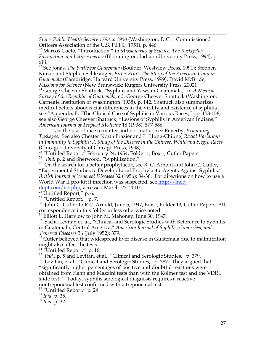$\overline{a}$ *States Public Health Service 1798 to 1950* (Washington, D.C. : Commissioned Officers Association of the U.S. P.H.S., 1951), p. 446.

22 Marcos Cueto, "Introduction," in *Missionaries of Science: The Rockefeller Foundation and Latin America* (Bloomington: Indiana University Press, 1994), p. xiii.

23 See Jonas, *The Battle for Guatemala* (Boulder: Westview Press, 1991); Stephen Kinzer and Stephen Schlesinger, *Bitter Fruit: The Story of the American Coup in Guatemala* (Cambridge: Harvard University Press, 1999); David McBride, *Missions for Science* (New Brunswick: Rutgers University Press, 2002). 24 George Cheever Shattuck, "Syphilis and Yaws in Guatemala," in *A Medical Survey of the Republic of Guatemala*, ed. George Cheever Shattuck (Washington: Carnegie Institution of Washington, 1938), p. 142. Shattuck also summarizes medical beliefs about racial differences in the virility and existence of syphilis, see "Appendix B, "The Clinical Case of Syphilis in Various Races," pp. 153-156; see also George Cheever Shattuck, "Lesions of Syphilis in American Indians," *American Journal of Tropical Medicine* 18 (1938): 577-586.

On the use of race to matter and not matter, see Reverby, *Examining Tuskegee.* See also Chester North Frazier and Li Hung-Chiung, *Racial Variations in Immunity to Syphilis: A Study of the Disease in the Chinese, White and Negro Races* (Chicago: University of Chicago Press, 1948).

 $25$  "Untitled Report," February 24, 1954, Folder 1, Box 1, Cutler Papers.

<sup>26</sup> *Ibid.* p. 2 and Sherwood, "Syphilization."

<sup>27</sup> On the search for a better prophylactic, see R. C. Arnold and John C. Cutler, "Experimental Studies to Develop Local Prophylactic Agents Against Syphilis," *British Journal of Venereal Diseases* 32 (1956): 34-36. For directions on how to use a World War II pro-kit if infection was suspected, see http://med-

dept.com/vd.php, accessed March 23, 2010.

 $^{28}$  Untitled Report," p. 6.

<sup>29</sup> *"*Untitled Report," p. 7.

<sup>30</sup> John C. Cutler to R.C. Arnold, June 5, 1947, Box 1, Folder 13, Cutler Papers. All correspondence in this folder unless otherwise noted.

<sup>31</sup> Elliott L. Harvlow to John M. Mahoney, June 30, 1947.

<sup>32</sup> Sacha Levitan et. al., "Clinical and Serologic Studies with Reference to Syphilis in Guatemala, Central America," *American Journal of Syphilis, Gonorrhea, and Venereal Diseases* 36 (July 1952): 379.

<sup>33</sup> Cutler believed that widespread liver disease in Guatemala due to malnutrition might also affect the tests.

<sup>34</sup> "Untitled Report," p. 16.

35 *Ibid.*, p. 5 and Levitan, et.al., "Clinical and Serologic Studies," p. 379.

<sup>36</sup> Levitan, et.al., "Clinical and Serologic Studies," p. 387. They argued that "significantly higher percentages of positive and doubtful reactions were

obtained from Kahn and Mazzini tests than with the Kolmer test and the VDRL

slide test." Today, syphilis serological diagnosis requires a reactive

nontreponemal test confirmed with a treponemal test.

37 "Untitled Report," p. 24

<sup>38</sup> *Ibid.* p. 25.

<sup>39</sup> *Ibid*, p. 32.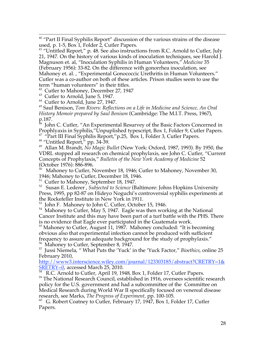<sup>40</sup> "Part II Final Syphilis Report" discussion of the various strains of the disease used, p. 1-5, Box 1, Folder 2, Cutler Papers.

<sup>41</sup> "Untitled Report," p. 48. See also instructions from R.C. Arnold to Cutler, July 21, 1947. On the history of various kinds of inoculation techniques, see Harold J. Magnuson et. al, "Inoculation Syphilis in Human Volunteers," *Medicine* 35 (February 1956): 33-82. On the difference with gonorrhea inoculation, see Mahoney et. al. , "Experimental Gonococcic Urethritis in Human Volunteers." Cutler was a co-author on both of these articles. Prison studies seem to use the term "human volunteers" in their titles.

<sup>42</sup> Cutler to Mahoney, December 27, 1947

<sup>43</sup> Cutler to Arnold, June 5, 1947.

<sup>44</sup> Cutler to Arnold, June 27, 1947.

45 Saul Benison, *Tom Rivers: Reflections on a Life in Medicine and Science, An Oral History Memoir prepared by Saul Benison* (Cambridge: The M.I.T. Press, 1967), p.187.

 $^{46}$  John C. Cutler, "An Experimental Resurvey of the Basic Factors Concerned in Prophlyaxis in Syphilis,"Unpuplished typescript, Box 1, Folder 9, Cutler Papers.  $47$  "Part III Final Syphilis Report," p.25, Box 1, Folder 3, Cutler Papers.

<sup>48</sup> "Untitled Report," pp. 34-39.

49 Allan M. Brandt, *No Magic Bullet* (New York: Oxford, 1987, 1993). By 1950, the VDRL stopped all research on chemical prophylaxis, see John C. Cutler, "Current Concepts of Prophylaxis," *Bulletin of the New York Academy of Medicine* 52 (October 1976): 886-896.<br> $^{50}$  Mahoney to Cutler N

Mahoney to Cutler, November 18, 1946; Cutler to Mahoney, November 30, 1946; Mahoney to Cutler, December 18, 1946.

<sup>51</sup> Cutler to Mahoney, September 18, 1947.

52 Susan E. Lederer , *Subjected to Science* (Baltimore: Johns Hopkins University Press, 1995, pp 82-87 on Hideyo Noguchi's controversial syphilis experiments at the Rockefeller Institute in New York in 1911.

53 John F. Mahoney to John C. Cutler, October 15, 1946.

 $54$  Mahoney to Cutler, May 5, 1947. Eagle was then working at the National Cancer Institute and this may have been part of a turf battle with the PHS. There is no evidence that Eagle ever participated in the Guatemala work.

<sup>55</sup> Mahoney to Cutler, August 11, 1987. Mahoney concluded: "It is becoming obvious also that experimental infection cannot be produced with sufficient frequency to assure an adequate background for the study of prophylaxis."

56 Mahoney to Cutler, September 8, 1947.

57 Jussi Niemela, " What Puts the 'Yuck' in the 'Yuck Factor," *Bioethics*, online 25 February 2010,

http://www3.interscience.wiley.com/journal/123303185/abstract?CRETRY=1& SRETRY=0, accessed March 25, 2010.

 $\frac{58}{58}$  R.C. Arnold to Cutler, April 19, 1948, Box 1, Folder 17, Cutler Papers.

59 The National Research Council, established in 1916, oversees scientific research policy for the U.S. government and had a subcommittee of the Committee on Medical Research during World War II specifically focused on venereal disease research, see Marks, *The Progress of Experiment,* pp. 100-105.

 $60$  G. Robert Coatney to Cutler, February 17, 1947, Box 1, Folder 17, Cutler Papers.